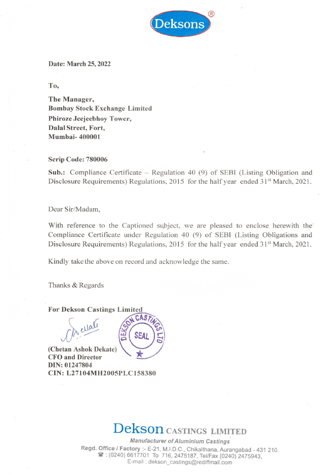

# Date: March 25, 2022

To,

The Manager, Bombay Stock Exchange Limited Phiroze Jeejeebhoy Tower, Dalal Street, Fort, Mumbai- 400001

## Scrip Code: 780006

Sub.: Compliance Certificate — Regulation 40 (9) of SEBI (Listing Obligation and Disclosure Requirements) Regulations, 2015 for the half year ended 31<sup>st</sup> March, 2021.

# Dear Sir/Madam,

With reference to the Captioned subject, we are pleased to enclose herewith the' Compliance Certificate under Regulation 40 (9) of SEBI (Listing Obligations and Disclosure Requirements) Regulations, 2015 for the half year ended 31<sup>st</sup> March, 2021.

Kindly take the above on record and acknowledge the same.

Thanks & Regards

# For Dekson Castings Limited

De ellalí

(Chetan Ashok Dekate) CFO and Director DIN: 01247804 CIN: L27104MH2005PLC158380



# Dekson castincs LIMITED

Manufacturer of Aluminium Castings Regd. Office / Factory :- E-21, M.I.D.C., Chikalthana, Aurangabad - 431 210.<br> **2475187**: (0240) 6617701 To 716, 2475187, Tel/Fax (0240) 2475943,<br>
E-mail : dekson\_castings@rediffmail.com